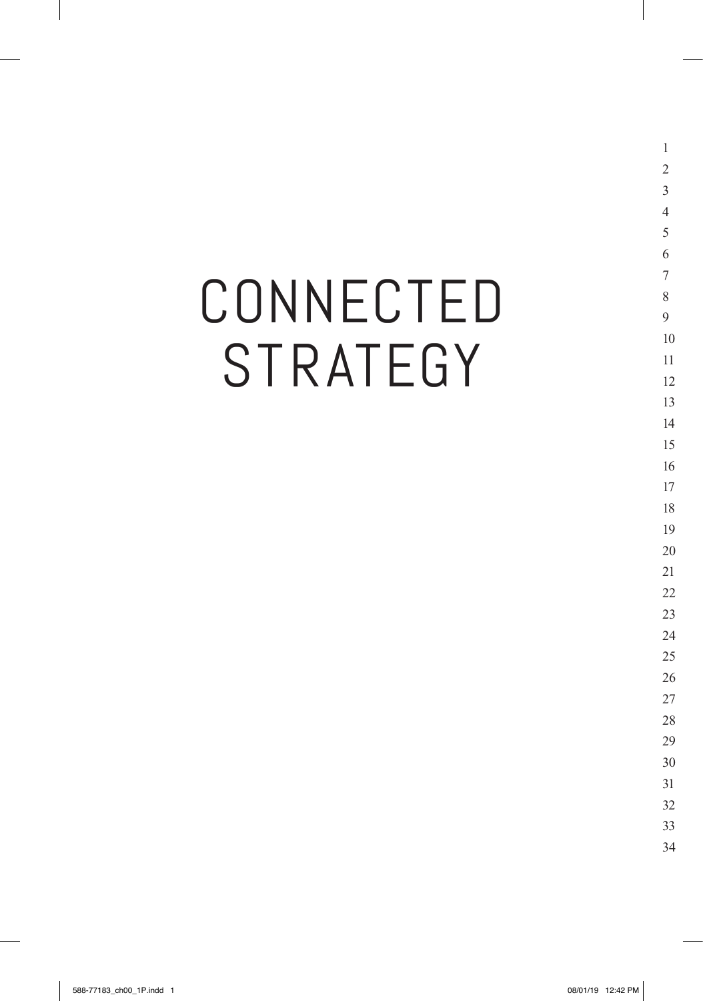# CONNECTED STRATEGY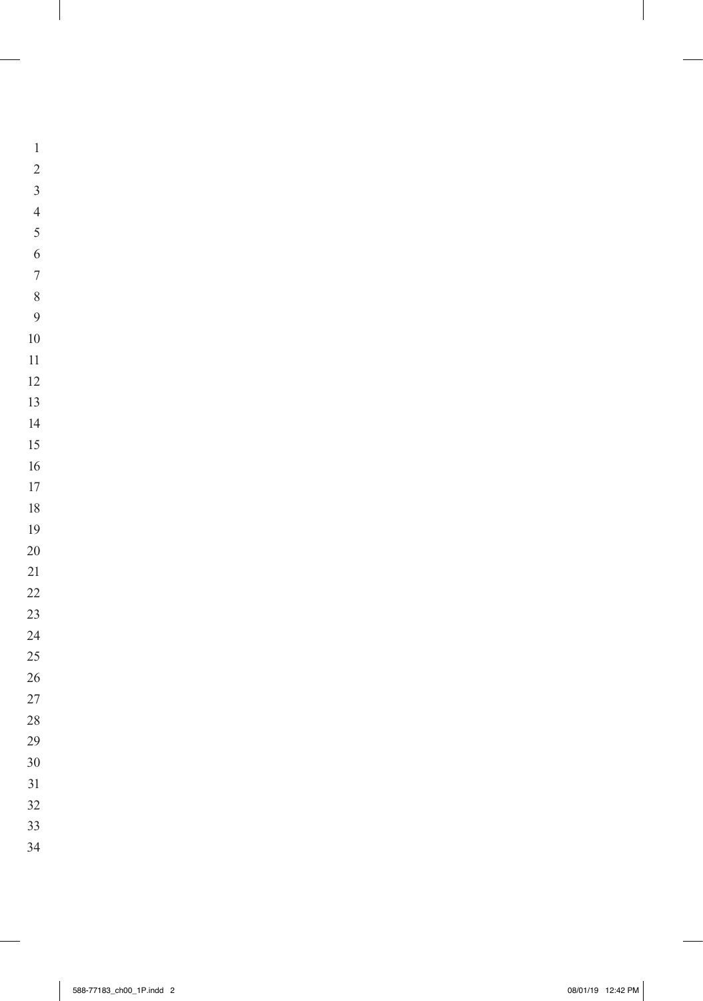$\overline{\phantom{a}}$ 

- 
- 
- 
- 
- 
- 
- 
- 
- 
- 
- 
- 
- 
- 
- 
- 
- 
- 
- 
- 
- 
- 
- 
- 
- 
- 
- 
- 
- 
-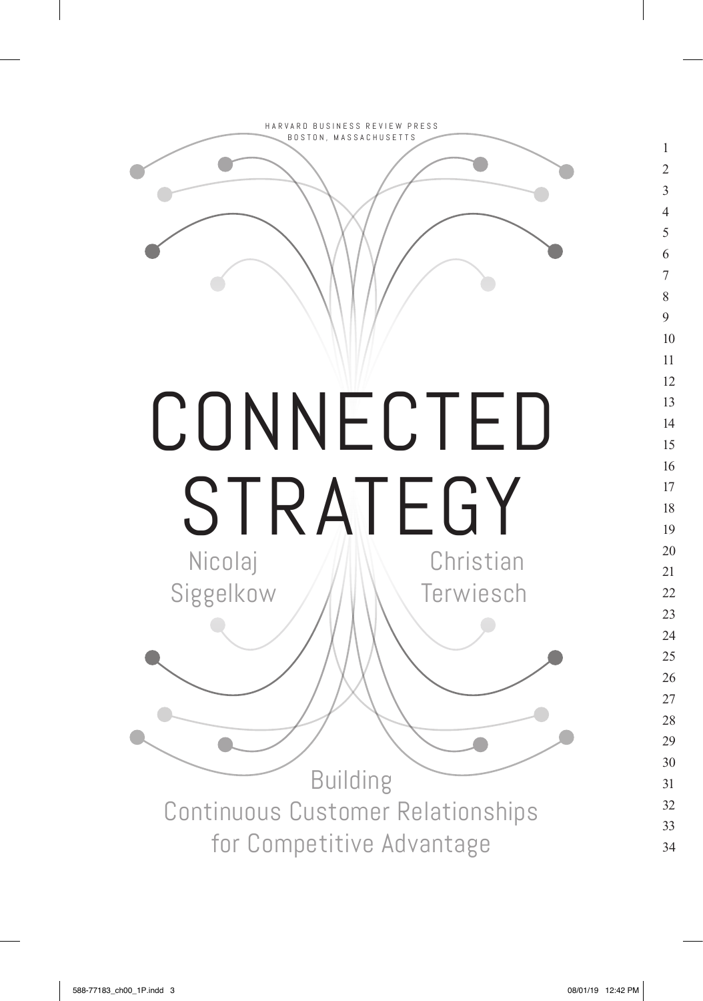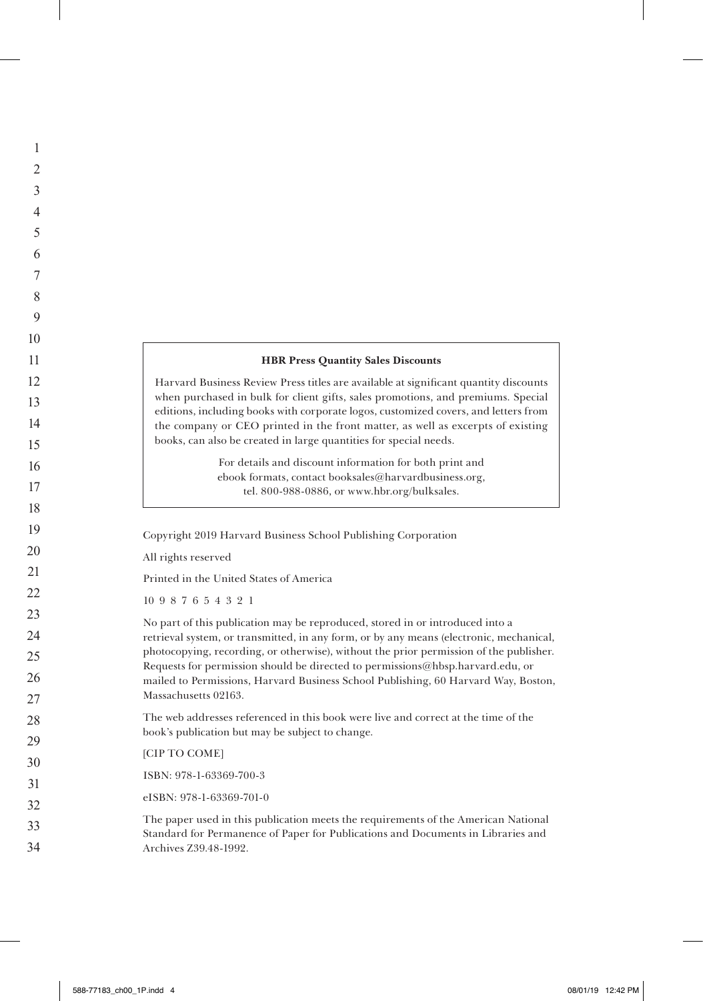#### **HBR Press Quantity Sales Discounts** Harvard Business Review Press titles are available at significant quantity discounts when purchased in bulk for client gifts, sales promotions, and premiums. Special editions, including books with corporate logos, customized covers, and letters from the company or CEO printed in the front matter, as well as excerpts of existing books, can also be created in large quantities for special needs. For details and discount information for both print and ebook formats, contact booksales@harvardbusiness.org, tel. 800-988-0886, or www.hbr.org/bulksales. Copyright 2019 Harvard Business School Publishing Corporation All rights reserved Printed in the United States of America 10 9 8 7 6 5 4 3 2 1 No part of this publication may be reproduced, stored in or introduced into a retrieval system, or transmitted, in any form, or by any means (electronic, mechanical, photocopying, recording, or otherwise), without the prior permission of the publisher. Requests for permission should be directed to permissions@hbsp.harvard.edu, or mailed to Permissions, Harvard Business School Publishing, 60 Harvard Way, Boston, Massachusetts 02163. The web addresses referenced in this book were live and correct at the time of the book's publication but may be subject to change. [CIP TO COME] ISBN: 978-1-63369-700-3 eISBN: 978-1-63369-701-0 The paper used in this publication meets the requirements of the American National Standard for Permanence of Paper for Publications and Documents in Libraries and Archives Z39.48-1992. 8 9 10 11 12 13 14 15 16 17 18 19 20 21 22 23 24 25 26 27 28 29 30 31 32 33 34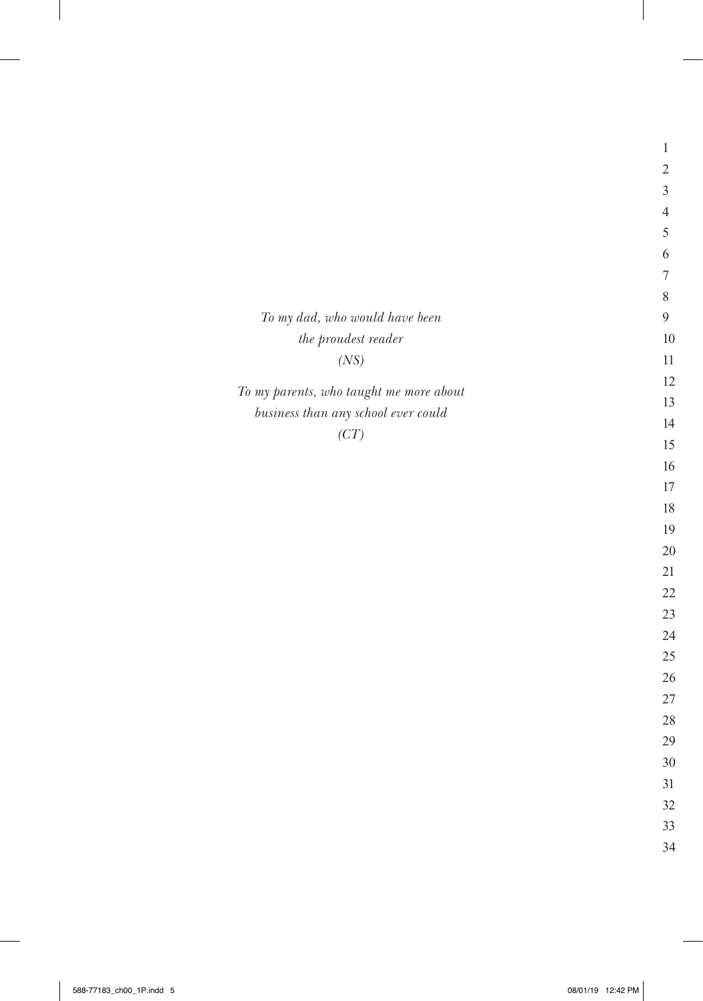|                                                      | $\sqrt{2}$       |
|------------------------------------------------------|------------------|
|                                                      | $\overline{3}$   |
|                                                      | $\overline{4}$   |
|                                                      | $\sqrt{5}$       |
|                                                      | 6                |
|                                                      | $\boldsymbol{7}$ |
|                                                      | $\,$ 8 $\,$      |
| To my dad, who would have been                       | $\mathbf{9}$     |
| $\emph{the \textit{proudest reader}}$                | 10               |
| (NS)                                                 | 11               |
|                                                      | 12               |
| To my parents, who taught me more about              | 13               |
| $\emph{business than any school ever could}$<br>(CT) | 14               |
|                                                      | 15               |
|                                                      | 16               |
|                                                      | 17               |
|                                                      | 18               |
|                                                      | 19               |
|                                                      | $20\,$           |
|                                                      | 21               |
|                                                      | $22\,$           |
|                                                      | $23\,$           |
|                                                      | 24               |
|                                                      | $25\,$           |
|                                                      | $26\,$           |
|                                                      | $27\,$           |
|                                                      | 28               |
|                                                      | 29               |
|                                                      | 30               |
|                                                      | $31\,$           |
|                                                      | 32               |
|                                                      | 33               |
|                                                      | 34               |
|                                                      |                  |
|                                                      |                  |

 $\overline{\phantom{a}}$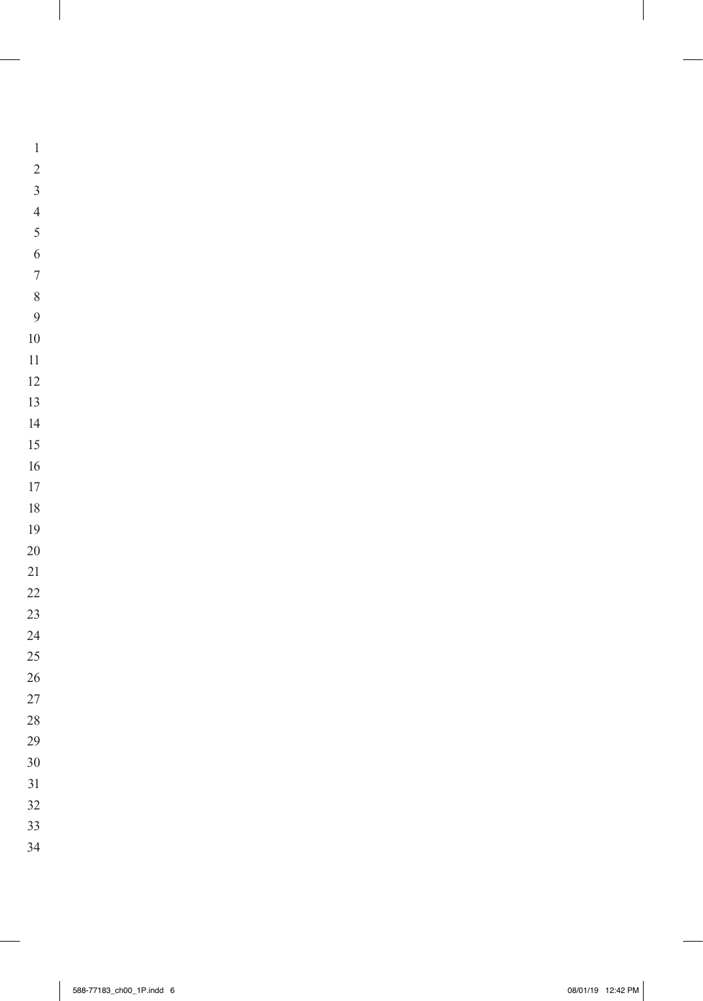$\overline{\phantom{a}}$ 

- 
- 
- 
- 
- 
- 
- 
- 
- 
- 
- 
- 
- 
- 
- 
- 
- 
- 
- 
- 
- 
- 
- 
- 
- 
- 
- 
- 
- 
-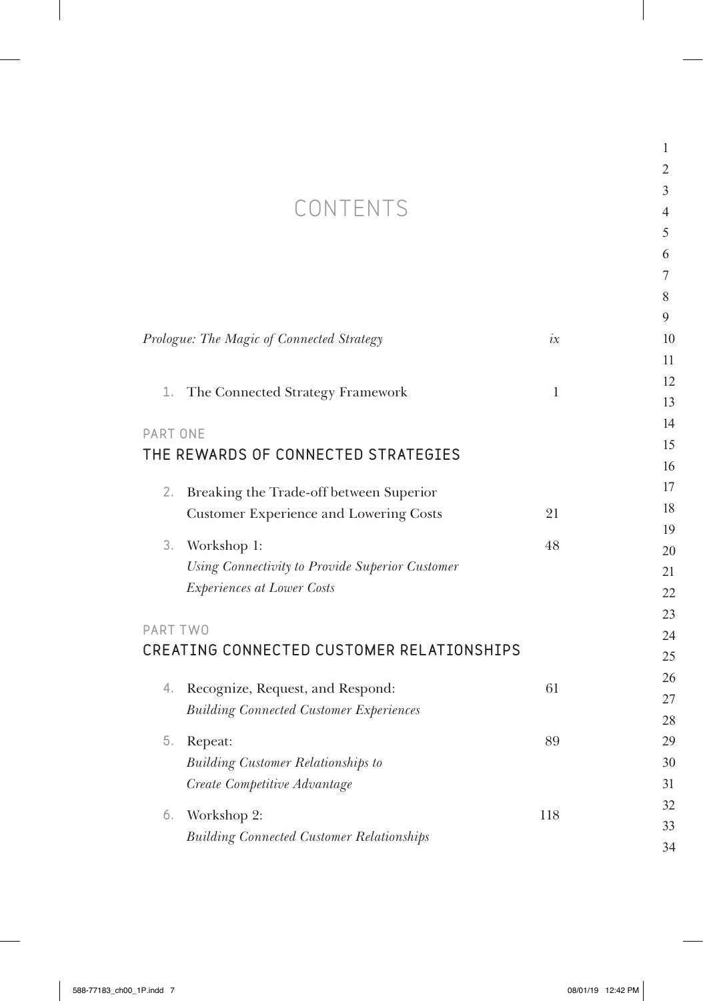|                                                  |     | 3  |
|--------------------------------------------------|-----|----|
| CONTENTS                                         |     | 4  |
|                                                  |     | 5  |
|                                                  |     | 6  |
|                                                  |     | 7  |
|                                                  |     | 8  |
|                                                  |     | 9  |
| Prologue: The Magic of Connected Strategy        | ix  | 10 |
|                                                  |     | 11 |
| 1.<br>The Connected Strategy Framework           | 1   | 12 |
|                                                  |     | 13 |
| PART ONE                                         |     | 14 |
| THE REWARDS OF CONNECTED STRATEGIES              |     | 15 |
|                                                  |     | 16 |
| 2.<br>Breaking the Trade-off between Superior    |     | 17 |
| <b>Customer Experience and Lowering Costs</b>    | 21  | 18 |
|                                                  |     | 19 |
| Workshop 1:<br>З.                                | 48  | 20 |
| Using Connectivity to Provide Superior Customer  |     | 21 |
| <b>Experiences at Lower Costs</b>                |     | 22 |
| PART TWO                                         |     | 23 |
| CREATING CONNECTED CUSTOMER RELATIONSHIPS        |     | 24 |
|                                                  |     | 25 |
| Recognize, Request, and Respond:<br>4.           | 61  | 26 |
| <b>Building Connected Customer Experiences</b>   |     | 27 |
|                                                  |     | 28 |
| Repeat:<br>5.                                    | 89  | 29 |
| <b>Building Customer Relationships to</b>        |     | 30 |
| Create Competitive Advantage                     |     | 31 |
| Workshop 2:<br>6.                                | 118 | 32 |
| <b>Building Connected Customer Relationships</b> |     | 33 |
|                                                  |     | 34 |

 $\overline{\phantom{a}}$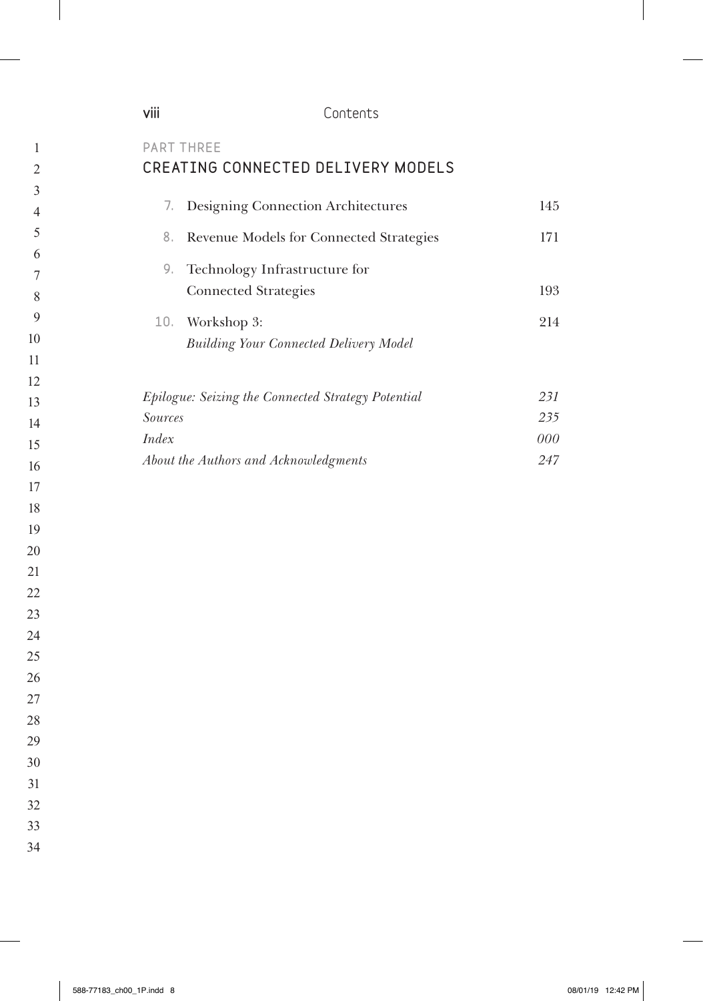## viii **Contents**

| $\overline{c}$ | CREAT        |
|----------------|--------------|
| 3              |              |
| $\overline{4}$ | 7.           |
| 5              | 8.           |
| 6              |              |
| $\overline{7}$ | 9.<br>j      |
| 8              |              |
| 9              | 10.          |
| 10             |              |
| 11             | j            |
| 12             |              |
| 13             | Epilogu      |
| 14             | Sources      |
| 15             | <b>Index</b> |
| 16             | About th     |
| 17             |              |
| 18             |              |
| 19             |              |
| 20             |              |
| 21             |              |
| 22             |              |
| 23             |              |
| 24             |              |
| 25             |              |
| 26             |              |
| 27             |              |
| 28             |              |
| 29             |              |
| 30             |              |
| 31             |              |
| 32             |              |

 $\overline{\phantom{a}}$ 

## PART THREE TING CONNECTED DELIVERY MODELS

| $\frac{1}{2}$ | Designing Connection Architectures                 | 145 |
|---------------|----------------------------------------------------|-----|
| 8.            | Revenue Models for Connected Strategies            | 171 |
| 9.            | Technology Infrastructure for                      |     |
|               | <b>Connected Strategies</b>                        | 193 |
| 10.           | Workshop 3:                                        | 214 |
|               | <b>Building Your Connected Delivery Model</b>      |     |
|               | Epilogue: Seizing the Connected Strategy Potential | 231 |
| Sources       |                                                    | 235 |
| Index         |                                                    | 000 |
|               | About the Authors and Acknowledgments              | 247 |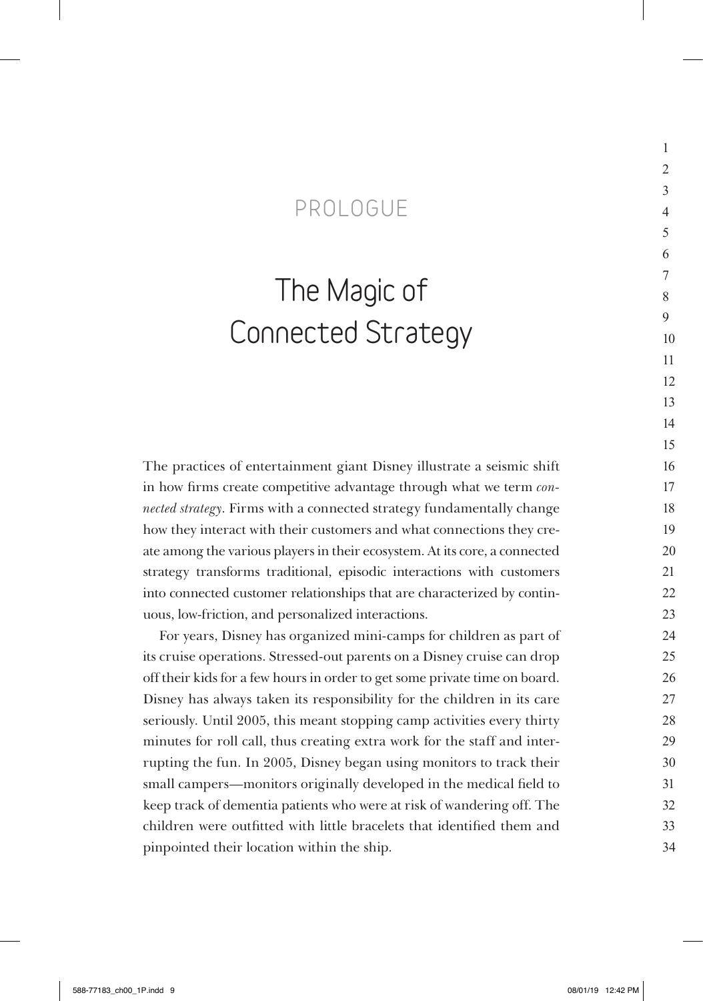# **PROLOGUE**

# **The Magic of Connected Strategy**

The practices of entertainment giant Disney illustrate a seismic shift in how firms create competitive advantage through what we term *connected strategy*. Firms with a connected strategy fundamentally change how they interact with their customers and what connections they create among the various players in their ecosystem. At its core, a connected strategy transforms traditional, episodic interactions with customers into connected customer relationships that are characterized by continuous, low-friction, and personalized interactions.

For years, Disney has organized mini-camps for children as part of its cruise operations. Stressed-out parents on a Disney cruise can drop off their kids for a few hours in order to get some private time on board. Disney has always taken its responsibility for the children in its care seriously. Until 2005, this meant stopping camp activities every thirty minutes for roll call, thus creating extra work for the staff and interrupting the fun. In 2005, Disney began using monitors to track their small campers—monitors originally developed in the medical field to keep track of dementia patients who were at risk of wandering off. The children were outfitted with little bracelets that identified them and pinpointed their location within the ship.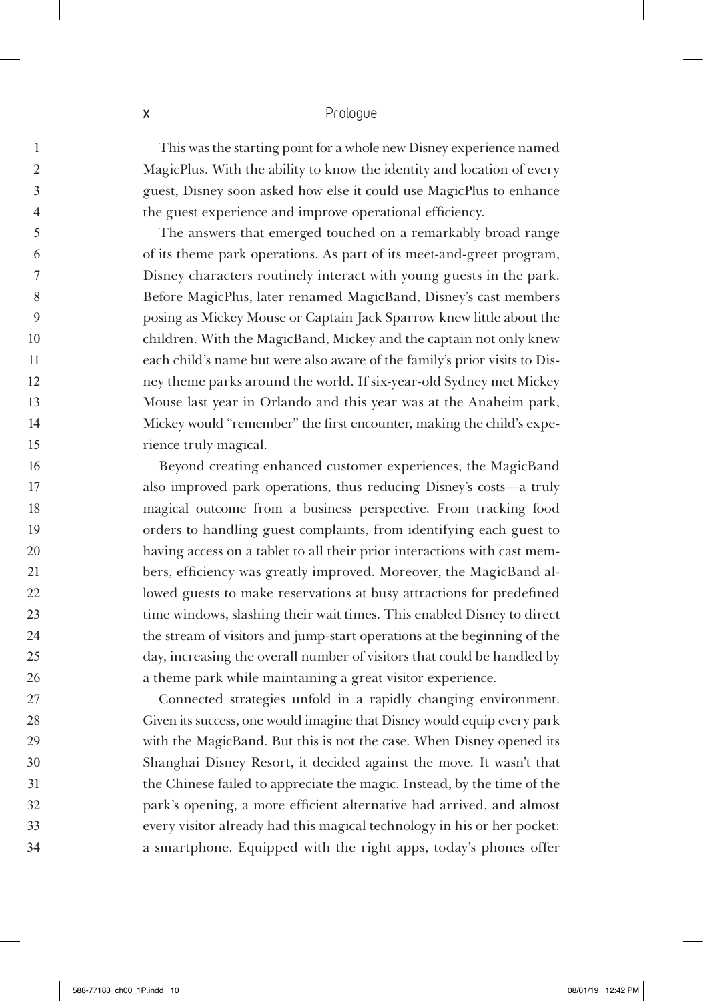#### x **Prologue**

This was the starting point for a whole new Disney experience named MagicPlus. With the ability to know the identity and location of every guest, Disney soon asked how else it could use MagicPlus to enhance the guest experience and improve operational efficiency.

The answers that emerged touched on a remarkably broad range of its theme park operations. As part of its meet-and-greet program, Disney characters routinely interact with young guests in the park. Before MagicPlus, later renamed MagicBand, Disney's cast members posing as Mickey Mouse or Captain Jack Sparrow knew little about the children. With the MagicBand, Mickey and the captain not only knew each child's name but were also aware of the family's prior visits to Disney theme parks around the world. If six-year-old Sydney met Mickey Mouse last year in Orlando and this year was at the Anaheim park, Mickey would "remember" the first encounter, making the child's experience truly magical.

Beyond creating enhanced customer experiences, the MagicBand also improved park operations, thus reducing Disney's costs—a truly magical outcome from a business perspective. From tracking food orders to handling guest complaints, from identifying each guest to having access on a tablet to all their prior interactions with cast members, efficiency was greatly improved. Moreover, the MagicBand allowed guests to make reservations at busy attractions for predefined time windows, slashing their wait times. This enabled Disney to direct the stream of visitors and jump-start operations at the beginning of the day, increasing the overall number of visitors that could be handled by a theme park while maintaining a great visitor experience.

Connected strategies unfold in a rapidly changing environment. Given its success, one would imagine that Disney would equip every park with the MagicBand. But this is not the case. When Disney opened its Shanghai Disney Resort, it decided against the move. It wasn't that the Chinese failed to appreciate the magic. Instead, by the time of the park's opening, a more efficient alternative had arrived, and almost every visitor already had this magical technology in his or her pocket: a smartphone. Equipped with the right apps, today's phones offer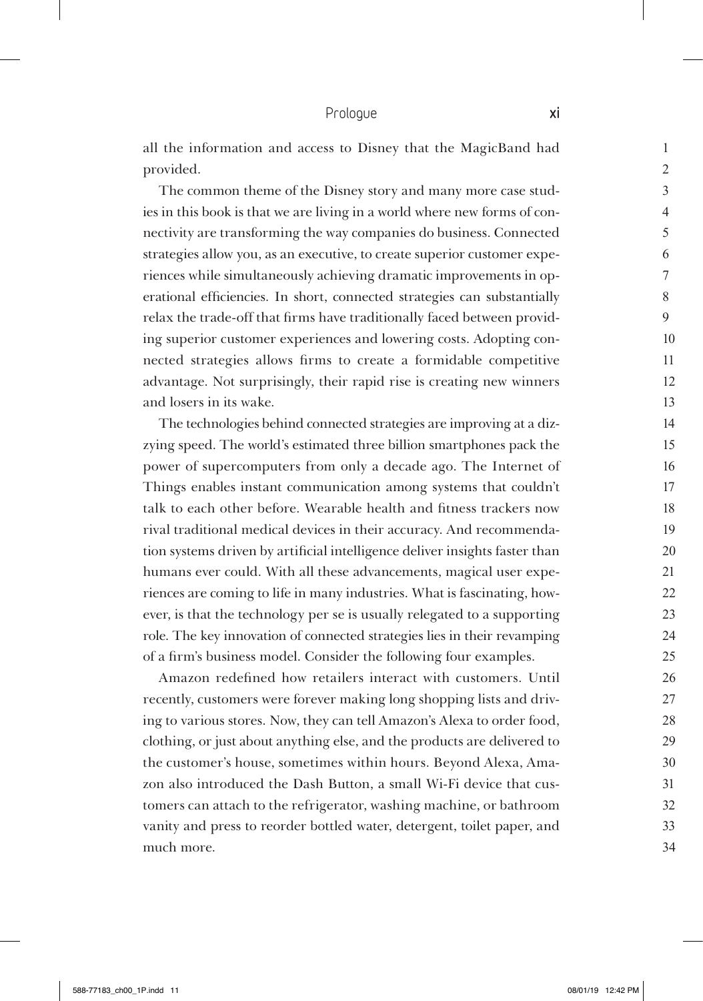all the information and access to Disney that the MagicBand had provided.

The common theme of the Disney story and many more case studies in this book is that we are living in a world where new forms of connectivity are transforming the way companies do business. Connected strategies allow you, as an executive, to create superior customer experiences while simultaneously achieving dramatic improvements in operational efficiencies. In short, connected strategies can substantially relax the trade-off that firms have traditionally faced between providing superior customer experiences and lowering costs. Adopting connected strategies allows firms to create a formidable competitive advantage. Not surprisingly, their rapid rise is creating new winners and losers in its wake.

The technologies behind connected strategies are improving at a dizzying speed. The world's estimated three billion smartphones pack the power of supercomputers from only a decade ago. The Internet of Things enables instant communication among systems that couldn't talk to each other before. Wearable health and fitness trackers now rival traditional medical devices in their accuracy. And recommendation systems driven by artificial intelligence deliver insights faster than humans ever could. With all these advancements, magical user experiences are coming to life in many industries. What is fascinating, however, is that the technology per se is usually relegated to a supporting role. The key innovation of connected strategies lies in their revamping of a firm's business model. Consider the following four examples.

Amazon redefined how retailers interact with customers. Until recently, customers were forever making long shopping lists and driving to various stores. Now, they can tell Amazon's Alexa to order food, clothing, or just about anything else, and the products are delivered to the customer's house, sometimes within hours. Beyond Alexa, Amazon also introduced the Dash Button, a small Wi-Fi device that customers can attach to the refrigerator, washing machine, or bathroom vanity and press to reorder bottled water, detergent, toilet paper, and much more.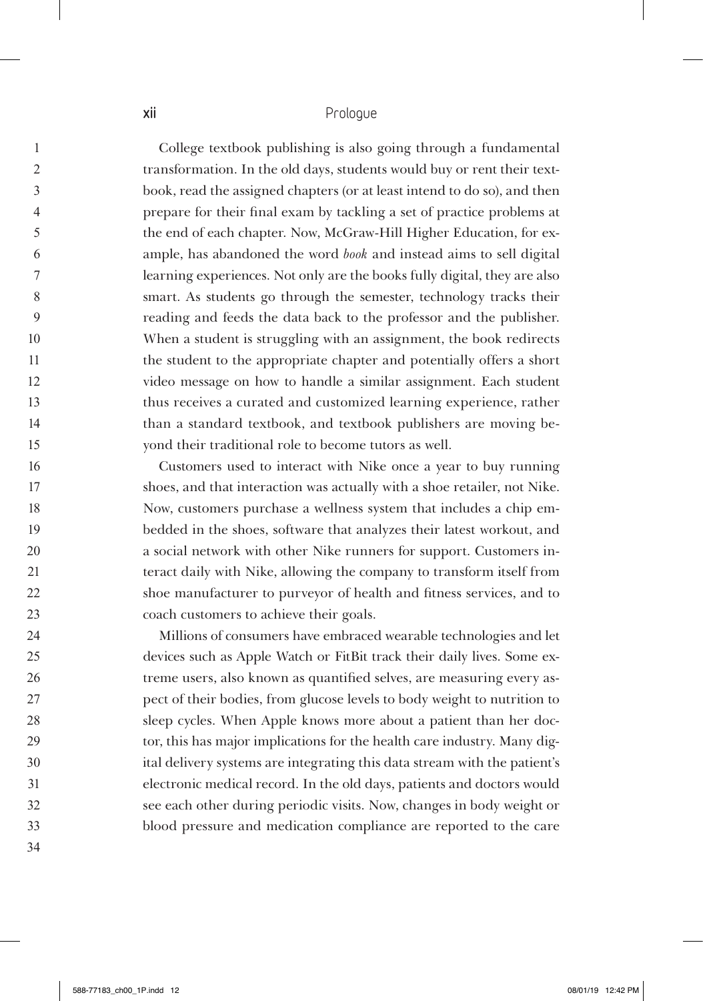#### xii **Prologue**

College textbook publishing is also going through a fundamental transformation. In the old days, students would buy or rent their textbook, read the assigned chapters (or at least intend to do so), and then prepare for their final exam by tackling a set of practice problems at the end of each chapter. Now, McGraw-Hill Higher Education, for example, has abandoned the word *book* and instead aims to sell digital learning experiences. Not only are the books fully digital, they are also smart. As students go through the semester, technology tracks their reading and feeds the data back to the professor and the publisher. When a student is struggling with an assignment, the book redirects the student to the appropriate chapter and potentially offers a short video message on how to handle a similar assignment. Each student thus receives a curated and customized learning experience, rather than a standard textbook, and textbook publishers are moving beyond their traditional role to become tutors as well.

Customers used to interact with Nike once a year to buy running shoes, and that interaction was actually with a shoe retailer, not Nike. Now, customers purchase a wellness system that includes a chip embedded in the shoes, software that analyzes their latest workout, and a social network with other Nike runners for support. Customers interact daily with Nike, allowing the company to transform itself from shoe manufacturer to purveyor of health and fitness services, and to coach customers to achieve their goals.

Millions of consumers have embraced wearable technologies and let devices such as Apple Watch or FitBit track their daily lives. Some extreme users, also known as quantified selves, are measuring every aspect of their bodies, from glucose levels to body weight to nutrition to sleep cycles. When Apple knows more about a patient than her doctor, this has major implications for the health care industry. Many digital delivery systems are integrating this data stream with the patient's electronic medical record. In the old days, patients and doctors would see each other during periodic visits. Now, changes in body weight or blood pressure and medication compliance are reported to the care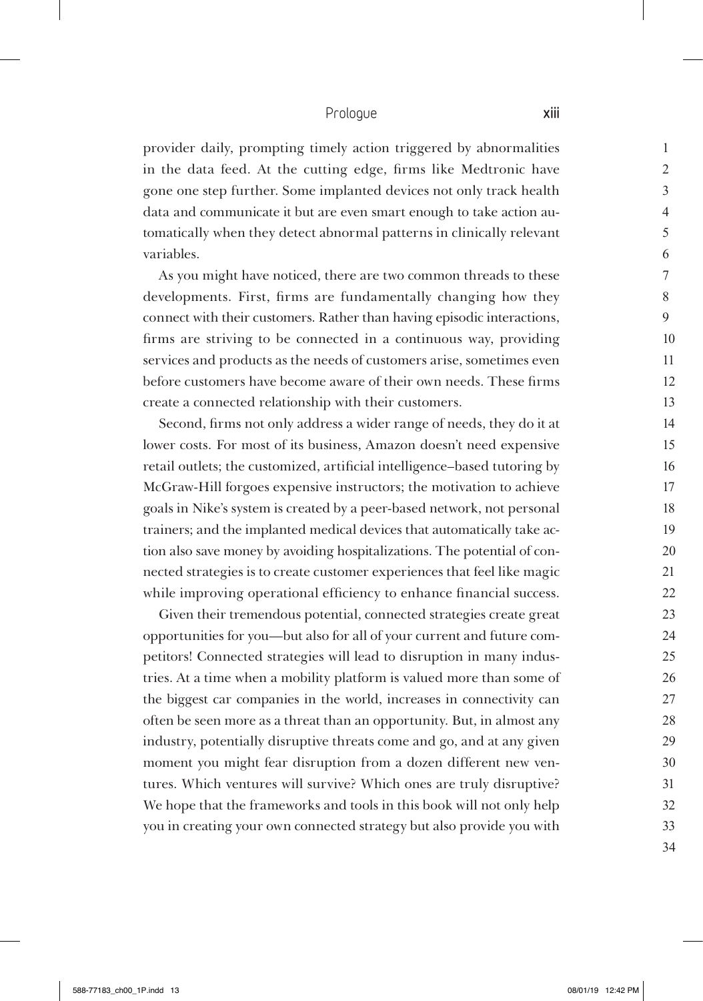#### **Prologue** xiii

provider daily, prompting timely action triggered by abnormalities in the data feed. At the cutting edge, firms like Medtronic have gone one step further. Some implanted devices not only track health data and communicate it but are even smart enough to take action automatically when they detect abnormal patterns in clinically relevant variables.

As you might have noticed, there are two common threads to these developments. First, firms are fundamentally changing how they connect with their customers. Rather than having episodic interactions, firms are striving to be connected in a continuous way, providing services and products as the needs of customers arise, sometimes even before customers have become aware of their own needs. These firms create a connected relationship with their customers.

Second, firms not only address a wider range of needs, they do it at lower costs. For most of its business, Amazon doesn't need expensive retail outlets; the customized, artificial intelligence–based tutoring by McGraw-Hill forgoes expensive instructors; the motivation to achieve goals in Nike's system is created by a peer-based network, not personal trainers; and the implanted medical devices that automatically take action also save money by avoiding hospitalizations. The potential of connected strategies is to create customer experiences that feel like magic while improving operational efficiency to enhance financial success.

Given their tremendous potential, connected strategies create great opportunities for you—but also for all of your current and future competitors! Connected strategies will lead to disruption in many industries. At a time when a mobility platform is valued more than some of the biggest car companies in the world, increases in connectivity can often be seen more as a threat than an opportunity. But, in almost any industry, potentially disruptive threats come and go, and at any given moment you might fear disruption from a dozen different new ventures. Which ventures will survive? Which ones are truly disruptive? We hope that the frameworks and tools in this book will not only help you in creating your own connected strategy but also provide you with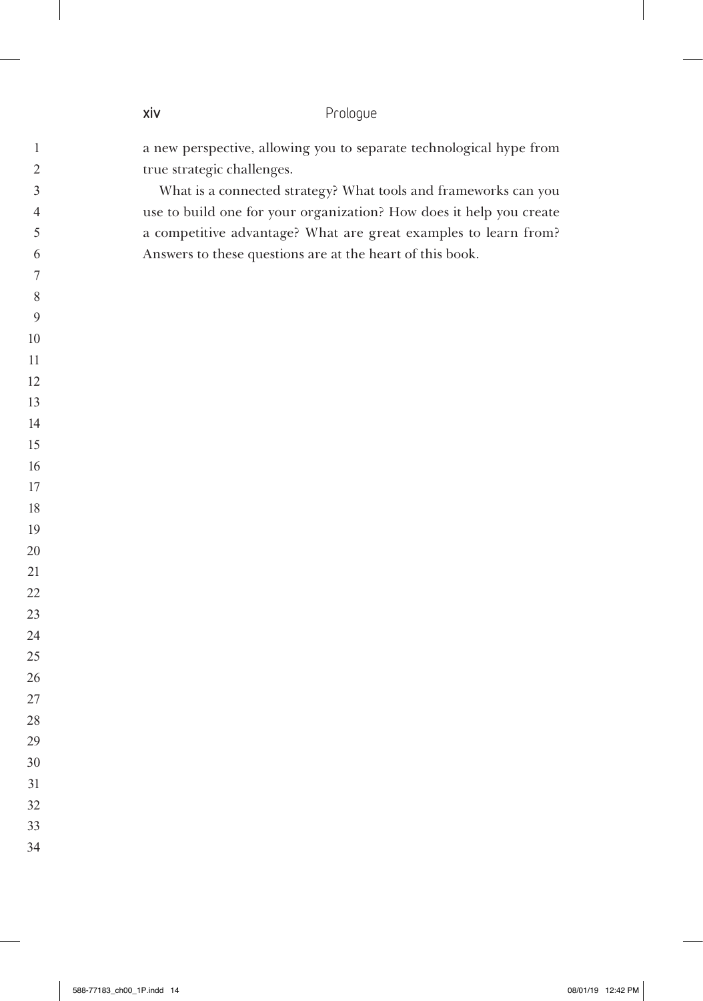### xiv **Prologue**

a new perspective, allowing you to separate technological hype from true strategic challenges.

What is a connected strategy? What tools and frameworks can you use to build one for your organization? How does it help you create a competitive advantage? What are great examples to learn from? Answers to these questions are at the heart of this book.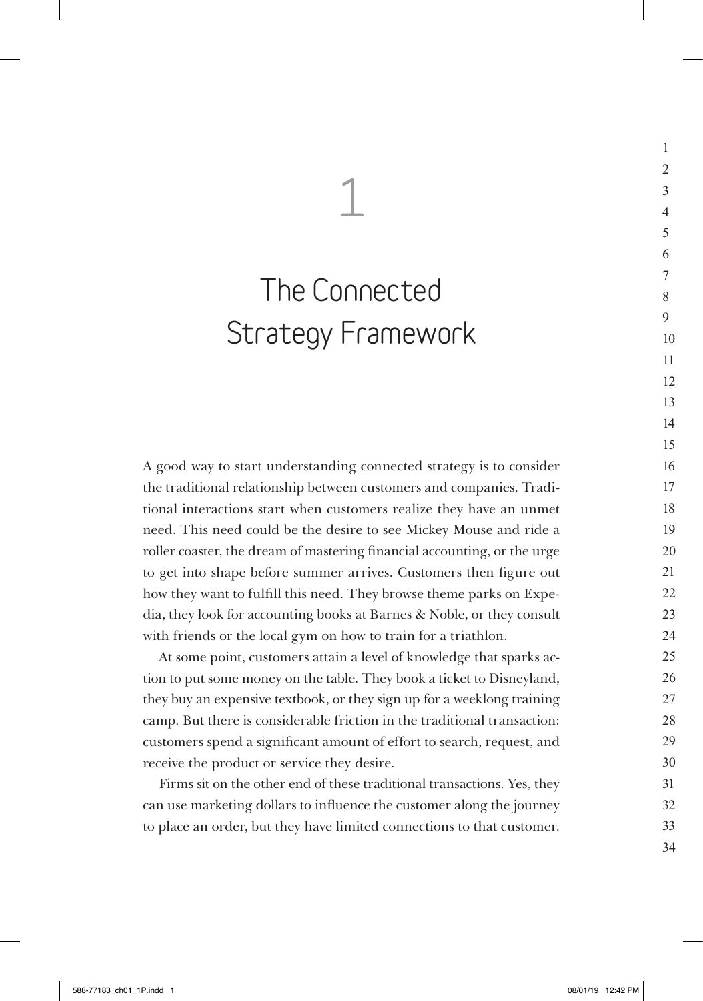# 

# **The Connected Strategy Framework**

A good way to start understanding connected strategy is to consider the traditional relationship between customers and companies. Traditional interactions start when customers realize they have an unmet need. This need could be the desire to see Mickey Mouse and ride a roller coaster, the dream of mastering financial accounting, or the urge to get into shape before summer arrives. Customers then figure out how they want to fulfill this need. They browse theme parks on Expedia, they look for accounting books at Barnes & Noble, or they consult with friends or the local gym on how to train for a triathlon.

At some point, customers attain a level of knowledge that sparks action to put some money on the table. They book a ticket to Disneyland, they buy an expensive textbook, or they sign up for a weeklong training camp. But there is considerable friction in the traditional transaction: customers spend a significant amount of effort to search, request, and receive the product or service they desire.

Firms sit on the other end of these traditional transactions. Yes, they can use marketing dollars to influence the customer along the journey to place an order, but they have limited connections to that customer.

588-77183\_ch01\_1P.indd 1 08/01/19 12:42 PM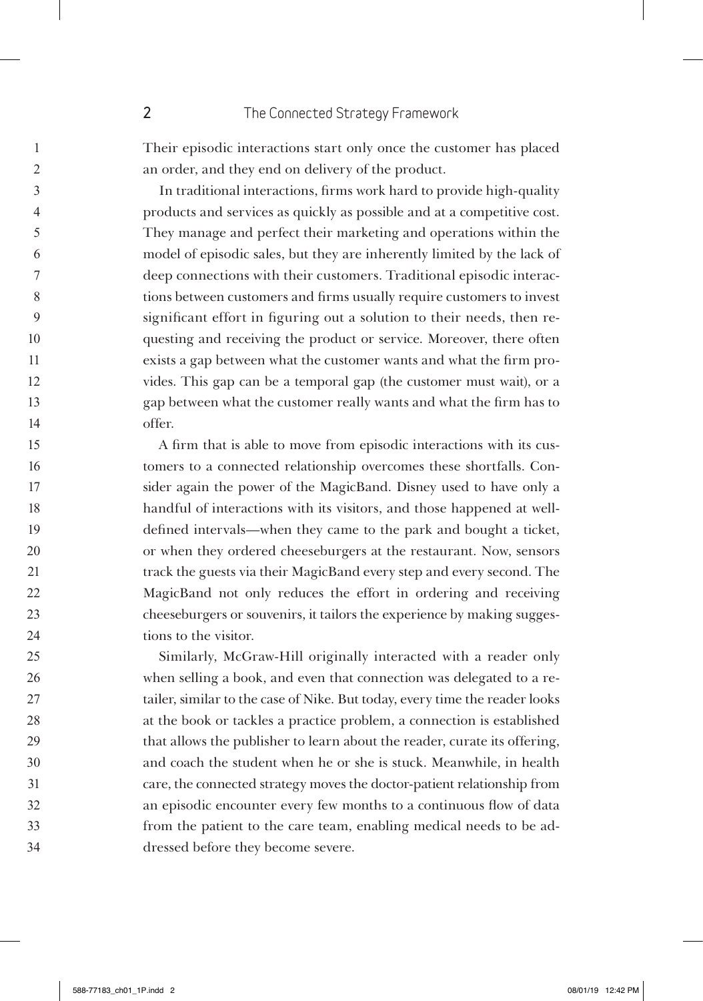Their episodic interactions start only once the customer has placed an order, and they end on delivery of the product.

In traditional interactions, firms work hard to provide high-quality products and services as quickly as possible and at a competitive cost. They manage and perfect their marketing and operations within the model of episodic sales, but they are inherently limited by the lack of deep connections with their customers. Traditional episodic interactions between customers and firms usually require customers to invest significant effort in figuring out a solution to their needs, then requesting and receiving the product or service. Moreover, there often exists a gap between what the customer wants and what the firm provides. This gap can be a temporal gap (the customer must wait), or a gap between what the customer really wants and what the firm has to offer.

A firm that is able to move from episodic interactions with its customers to a connected relationship overcomes these shortfalls. Consider again the power of the MagicBand. Disney used to have only a handful of interactions with its visitors, and those happened at welldefined intervals—when they came to the park and bought a ticket, or when they ordered cheeseburgers at the restaurant. Now, sensors track the guests via their MagicBand every step and every second. The MagicBand not only reduces the effort in ordering and receiving cheeseburgers or souvenirs, it tailors the experience by making suggestions to the visitor.

Similarly, McGraw-Hill originally interacted with a reader only when selling a book, and even that connection was delegated to a retailer, similar to the case of Nike. But today, every time the reader looks at the book or tackles a practice problem, a connection is established that allows the publisher to learn about the reader, curate its offering, and coach the student when he or she is stuck. Meanwhile, in health care, the connected strategy moves the doctor-patient relationship from an episodic encounter every few months to a continuous flow of data from the patient to the care team, enabling medical needs to be addressed before they become severe.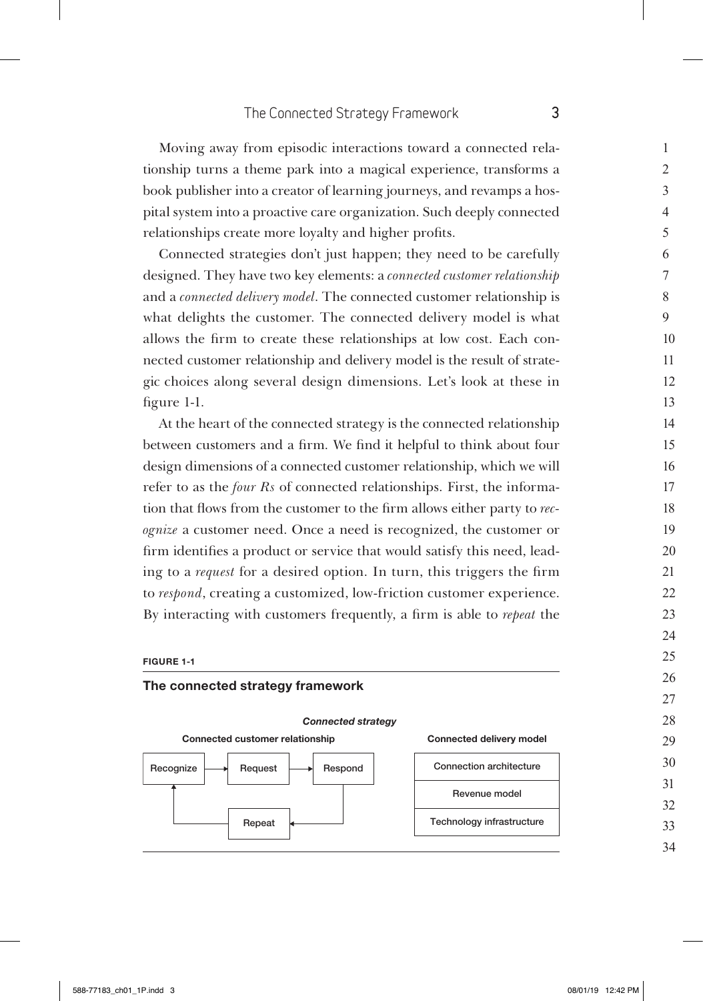Moving away from episodic interactions toward a connected relationship turns a theme park into a magical experience, transforms a book publisher into a creator of learning journeys, and revamps a hospital system into a proactive care organization. Such deeply connected relationships create more loyalty and higher profits.

Connected strategies don't just happen; they need to be carefully designed. They have two key elements: a *connected customer relationship* and a *connected delivery model*. The connected customer relationship is what delights the customer. The connected delivery model is what allows the firm to create these relationships at low cost. Each connected customer relationship and delivery model is the result of strategic choices along several design dimensions. Let's look at these in figure 1-1.

At the heart of the connected strategy is the connected relationship between customers and a firm. We find it helpful to think about four design dimensions of a connected customer relationship, which we will refer to as the *four Rs* of connected relationships. First, the information that flows from the customer to the firm allows either party to *recognize* a customer need. Once a need is recognized, the customer or firm identifies a product or service that would satisfy this need, leading to a *request* for a desired option. In turn, this triggers the firm to *respond*, creating a customized, low-friction customer experience. By interacting with customers frequently, a firm is able to *repeat* the

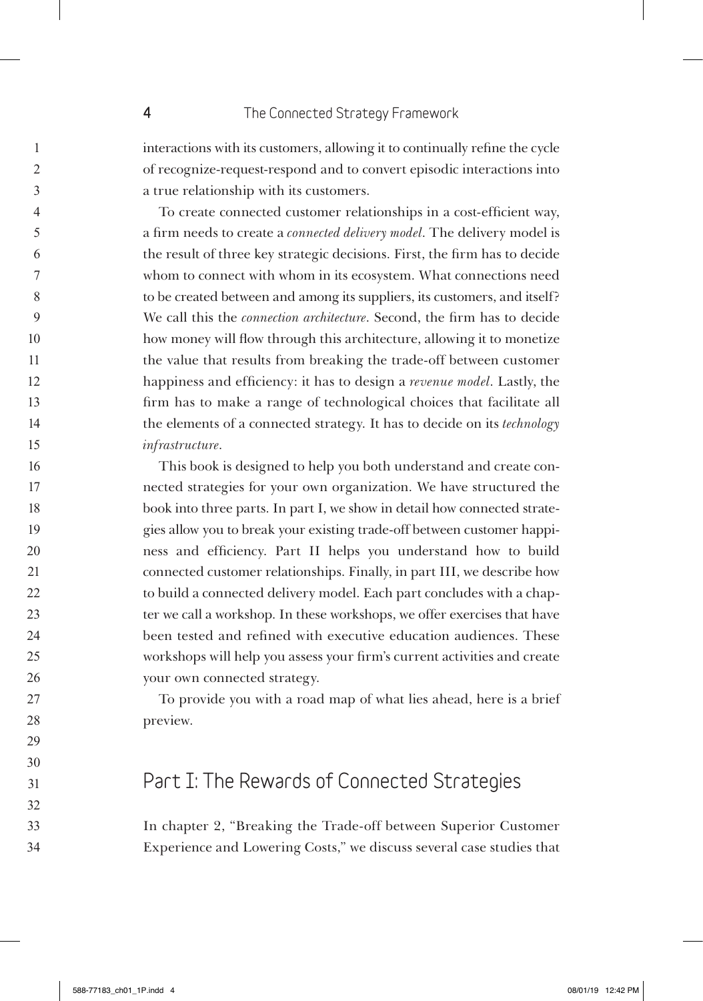interactions with its customers, allowing it to continually refine the cycle of recognize-request-respond and to convert episodic interactions into a true relationship with its customers.

To create connected customer relationships in a cost-efficient way, a firm needs to create a *connected delivery model*. The delivery model is the result of three key strategic decisions. First, the firm has to decide whom to connect with whom in its ecosystem. What connections need to be created between and among its suppliers, its customers, and itself? We call this the *connection architecture*. Second, the firm has to decide how money will flow through this architecture, allowing it to monetize the value that results from breaking the trade-off between customer happiness and efficiency: it has to design a *revenue model*. Lastly, the firm has to make a range of technological choices that facilitate all the elements of a connected strategy. It has to decide on its *technology infrastructure*.

This book is designed to help you both understand and create connected strategies for your own organization. We have structured the book into three parts. In part I, we show in detail how connected strategies allow you to break your existing trade-off between customer happiness and efficiency. Part II helps you understand how to build connected customer relationships. Finally, in part III, we describe how to build a connected delivery model. Each part concludes with a chapter we call a workshop. In these workshops, we offer exercises that have been tested and refined with executive education audiences. These workshops will help you assess your firm's current activities and create your own connected strategy.

To provide you with a road map of what lies ahead, here is a brief preview.

# **Part I: The Rewards of Connected Strategies**

In chapter 2, "Breaking the Trade-off between Superior Customer Experience and Lowering Costs," we discuss several case studies that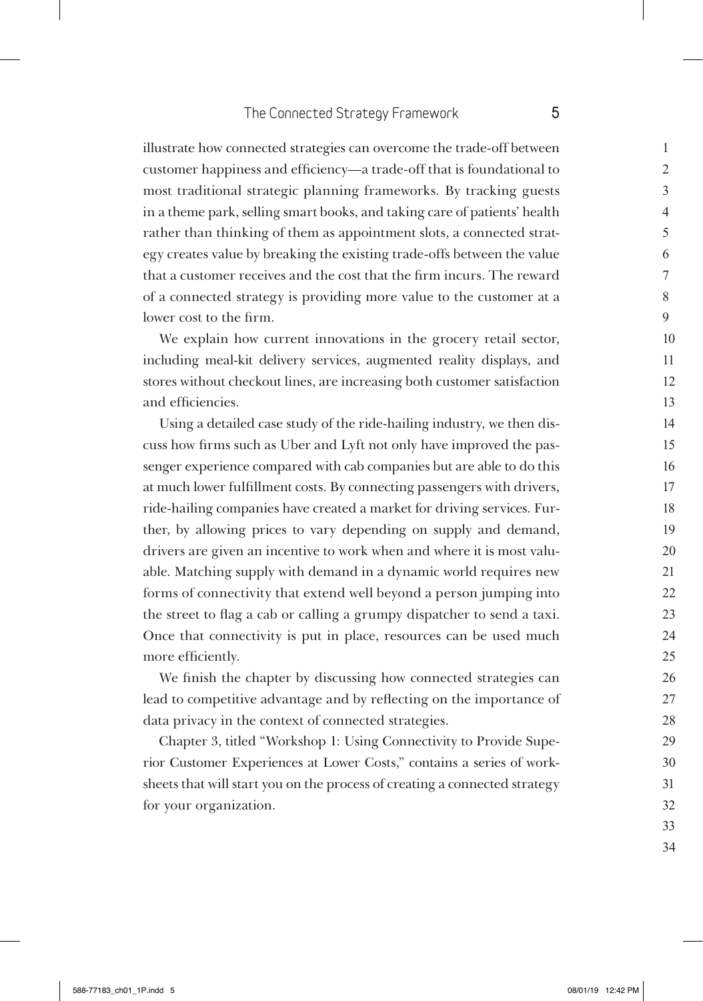illustrate how connected strategies can overcome the trade-off between customer happiness and efficiency—a trade-off that is foundational to most traditional strategic planning frameworks. By tracking guests in a theme park, selling smart books, and taking care of patients' health rather than thinking of them as appointment slots, a connected strategy creates value by breaking the existing trade-offs between the value that a customer receives and the cost that the firm incurs. The reward of a connected strategy is providing more value to the customer at a lower cost to the firm.

We explain how current innovations in the grocery retail sector, including meal-kit delivery services, augmented reality displays, and stores without checkout lines, are increasing both customer satisfaction and efficiencies.

Using a detailed case study of the ride-hailing industry, we then discuss how firms such as Uber and Lyft not only have improved the passenger experience compared with cab companies but are able to do this at much lower fulfillment costs. By connecting passengers with drivers, ride-hailing companies have created a market for driving services. Further, by allowing prices to vary depending on supply and demand, drivers are given an incentive to work when and where it is most valuable. Matching supply with demand in a dynamic world requires new forms of connectivity that extend well beyond a person jumping into the street to flag a cab or calling a grumpy dispatcher to send a taxi. Once that connectivity is put in place, resources can be used much more efficiently.

We finish the chapter by discussing how connected strategies can lead to competitive advantage and by reflecting on the importance of data privacy in the context of connected strategies.

Chapter 3, titled "Workshop 1: Using Connectivity to Provide Superior Customer Experiences at Lower Costs," contains a series of worksheets that will start you on the process of creating a connected strategy for your organization.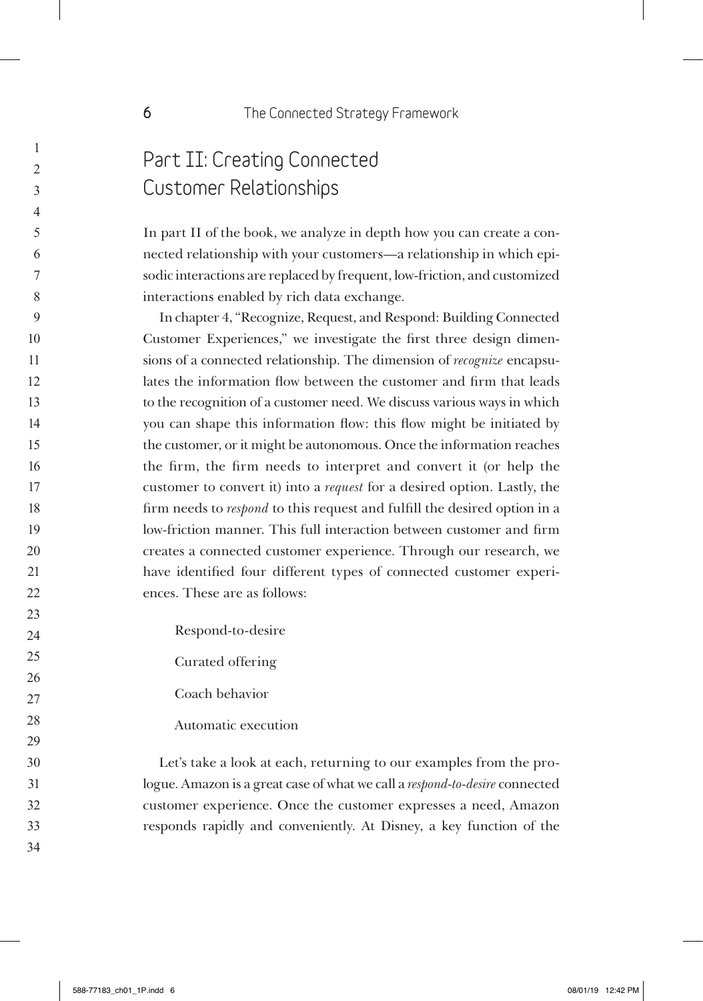# **Part II: Creating Connected Customer Relationships**

In part II of the book, we analyze in depth how you can create a connected relationship with your customers—a relationship in which episodic interactions are replaced by frequent, low-friction, and customized interactions enabled by rich data exchange.

In chapter 4, "Recognize, Request, and Respond: Building Connected Customer Experiences," we investigate the first three design dimensions of a connected relationship. The dimension of *recognize* encapsulates the information flow between the customer and firm that leads to the recognition of a customer need. We discuss various ways in which you can shape this information flow: this flow might be initiated by the customer, or it might be autonomous. Once the information reaches the firm, the firm needs to interpret and convert it (or help the customer to convert it) into a *request* for a desired option. Lastly, the firm needs to *respond* to this request and fulfill the desired option in a low-friction manner. This full interaction between customer and firm creates a connected customer experience. Through our research, we have identified four different types of connected customer experiences. These are as follows:

Respond-to-desire Curated offering Coach behavior Automatic execution Let's take a look at each, returning to our examples from the prologue. Amazon is a great case of what we call a *respond-to-desire* connected customer experience. Once the customer expresses a need, Amazon responds rapidly and conveniently. At Disney, a key function of the 22 23 24 25 26 27 28 29 30 31 32 33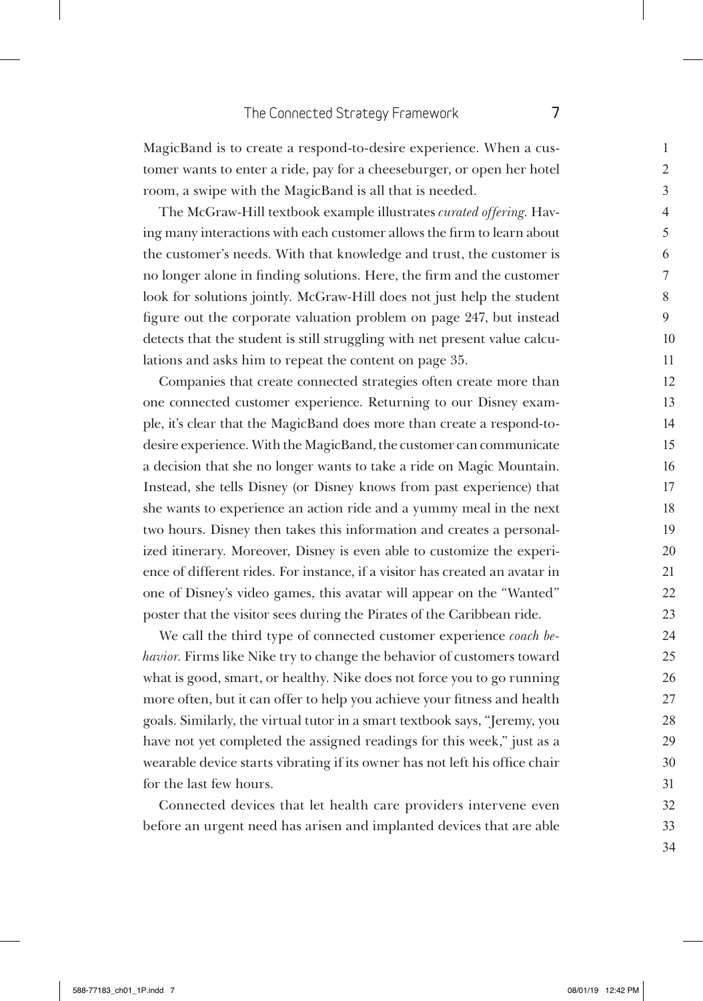MagicBand is to create a respond-to-desire experience. When a customer wants to enter a ride, pay for a cheeseburger, or open her hotel room, a swipe with the MagicBand is all that is needed.

The McGraw-Hill textbook example illustrates *curated offering*. Having many interactions with each customer allows the firm to learn about the customer's needs. With that knowledge and trust, the customer is no longer alone in finding solutions. Here, the firm and the customer look for solutions jointly. McGraw-Hill does not just help the student figure out the corporate valuation problem on page 247, but instead detects that the student is still struggling with net present value calculations and asks him to repeat the content on page 35.

Companies that create connected strategies often create more than one connected customer experience. Returning to our Disney example, it's clear that the MagicBand does more than create a respond-todesire experience. With the MagicBand, the customer can communicate a decision that she no longer wants to take a ride on Magic Mountain. Instead, she tells Disney (or Disney knows from past experience) that she wants to experience an action ride and a yummy meal in the next two hours. Disney then takes this information and creates a personalized itinerary. Moreover, Disney is even able to customize the experience of different rides. For instance, if a visitor has created an avatar in one of Disney's video games, this avatar will appear on the "Wanted" poster that the visitor sees during the Pirates of the Caribbean ride.

We call the third type of connected customer experience *coach behavior*. Firms like Nike try to change the behavior of customers toward what is good, smart, or healthy. Nike does not force you to go running more often, but it can offer to help you achieve your fitness and health goals. Similarly, the virtual tutor in a smart textbook says, "Jeremy, you have not yet completed the assigned readings for this week," just as a wearable device starts vibrating if its owner has not left his office chair for the last few hours.

Connected devices that let health care providers intervene even before an urgent need has arisen and implanted devices that are able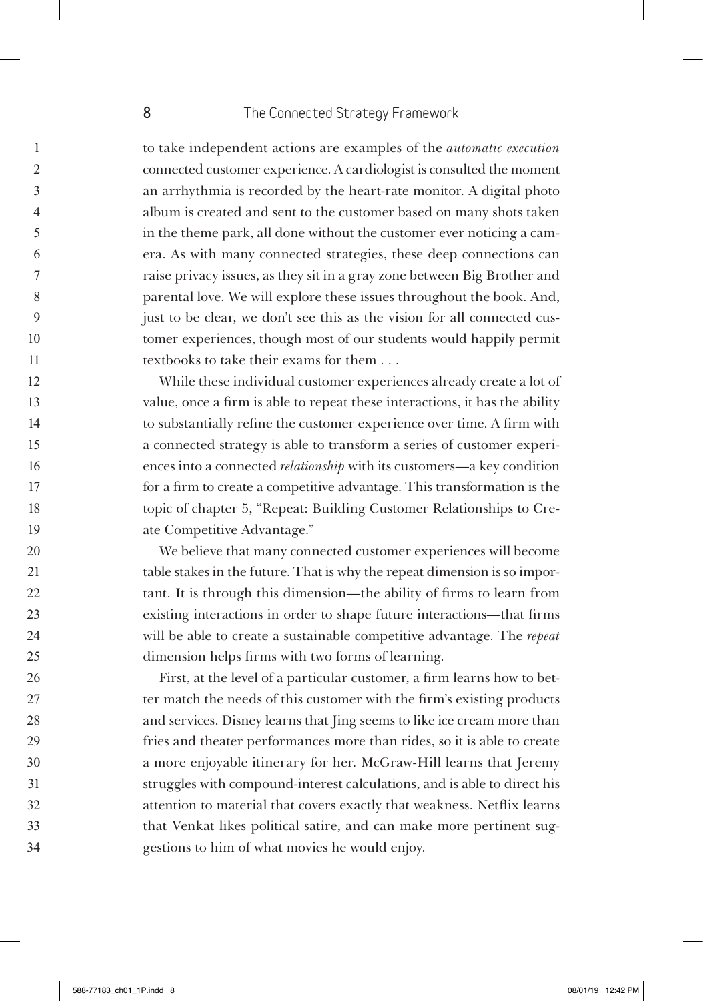to take independent actions are examples of the *automatic execution* connected customer experience. A cardiologist is consulted the moment an arrhythmia is recorded by the heart-rate monitor. A digital photo album is created and sent to the customer based on many shots taken in the theme park, all done without the customer ever noticing a camera. As with many connected strategies, these deep connections can raise privacy issues, as they sit in a gray zone between Big Brother and parental love. We will explore these issues throughout the book. And, just to be clear, we don't see this as the vision for all connected customer experiences, though most of our students would happily permit textbooks to take their exams for them . . .

While these individual customer experiences already create a lot of value, once a firm is able to repeat these interactions, it has the ability to substantially refine the customer experience over time. A firm with a connected strategy is able to transform a series of customer experiences into a connected *relationship* with its customers—a key condition for a firm to create a competitive advantage. This transformation is the topic of chapter 5, "Repeat: Building Customer Relationships to Create Competitive Advantage."

We believe that many connected customer experiences will become table stakes in the future. That is why the repeat dimension is so important. It is through this dimension—the ability of firms to learn from existing interactions in order to shape future interactions—that firms will be able to create a sustainable competitive advantage. The *repeat* dimension helps firms with two forms of learning.

First, at the level of a particular customer, a firm learns how to better match the needs of this customer with the firm's existing products and services. Disney learns that Jing seems to like ice cream more than fries and theater performances more than rides, so it is able to create a more enjoyable itinerary for her. McGraw-Hill learns that Jeremy struggles with compound-interest calculations, and is able to direct his attention to material that covers exactly that weakness. Netflix learns that Venkat likes political satire, and can make more pertinent suggestions to him of what movies he would enjoy.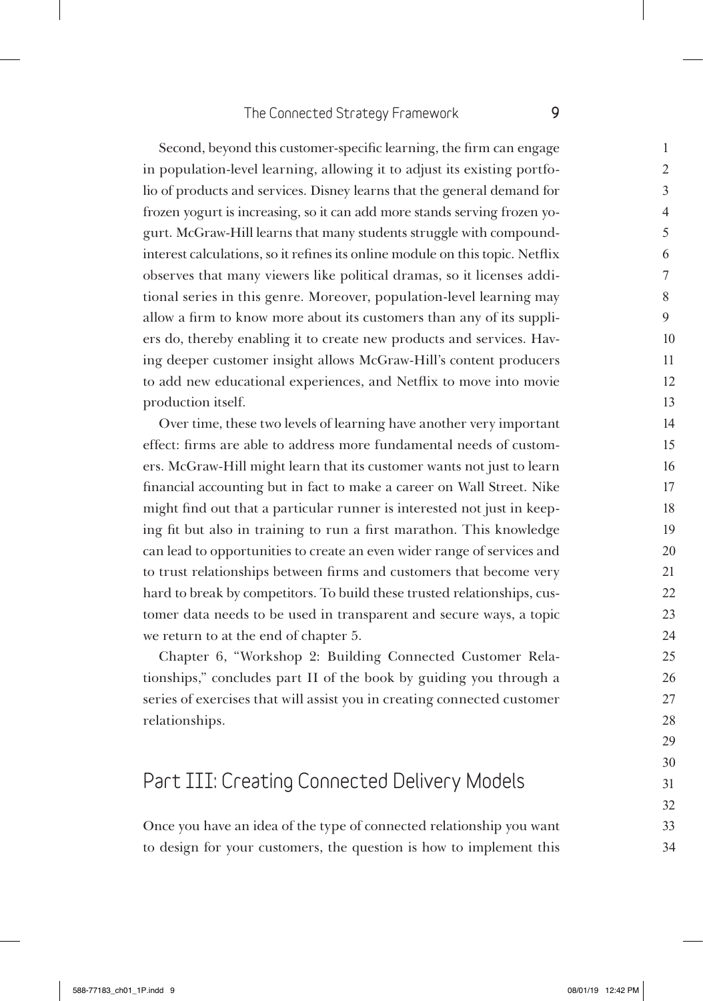Second, beyond this customer-specific learning, the firm can engage in population-level learning, allowing it to adjust its existing portfolio of products and services. Disney learns that the general demand for frozen yogurt is increasing, so it can add more stands serving frozen yogurt. McGraw-Hill learns that many students struggle with compoundinterest calculations, so it refines its online module on this topic. Netflix observes that many viewers like political dramas, so it licenses additional series in this genre. Moreover, population-level learning may allow a firm to know more about its customers than any of its suppliers do, thereby enabling it to create new products and services. Having deeper customer insight allows McGraw-Hill's content producers to add new educational experiences, and Netflix to move into movie production itself.

Over time, these two levels of learning have another very important effect: firms are able to address more fundamental needs of customers. McGraw-Hill might learn that its customer wants not just to learn financial accounting but in fact to make a career on Wall Street. Nike might find out that a particular runner is interested not just in keeping fit but also in training to run a first marathon. This knowledge can lead to opportunities to create an even wider range of services and to trust relationships between firms and customers that become very hard to break by competitors. To build these trusted relationships, customer data needs to be used in transparent and secure ways, a topic we return to at the end of chapter 5.

Chapter 6, "Workshop 2: Building Connected Customer Relationships," concludes part II of the book by guiding you through a series of exercises that will assist you in creating connected customer relationships.

# **Part III: Creating Connected Delivery Models**

Once you have an idea of the type of connected relationship you want to design for your customers, the question is how to implement this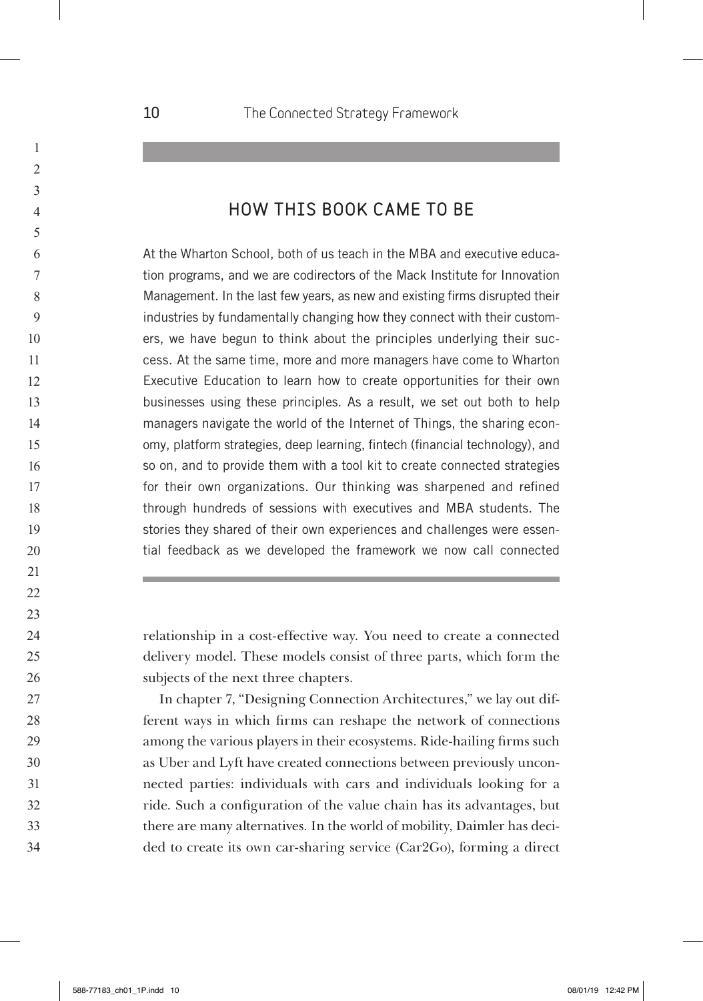# HOW THIS BOOK CAME TO BE

At the Wharton School, both of us teach in the MBA and executive education programs, and we are codirectors of the Mack Institute for Innovation Management. In the last few years, as new and existing firms disrupted their industries by fundamentally changing how they connect with their customers, we have begun to think about the principles underlying their success. At the same time, more and more managers have come to Wharton Executive Education to learn how to create opportunities for their own businesses using these principles. As a result, we set out both to help managers navigate the world of the Internet of Things, the sharing economy, platform strategies, deep learning, fintech (financial technology), and so on, and to provide them with a tool kit to create connected strategies for their own organizations. Our thinking was sharpened and refined through hundreds of sessions with executives and MBA students. The stories they shared of their own experiences and challenges were essential feedback as we developed the framework we now call connected

relationship in a cost-effective way. You need to create a connected delivery model. These models consist of three parts, which form the subjects of the next three chapters.

In chapter 7, "Designing Connection Architectures," we lay out different ways in which firms can reshape the network of connections among the various players in their ecosystems. Ride-hailing firms such as Uber and Lyft have created connections between previously unconnected parties: individuals with cars and individuals looking for a ride. Such a configuration of the value chain has its advantages, but there are many alternatives. In the world of mobility, Daimler has decided to create its own car-sharing service (Car2Go), forming a direct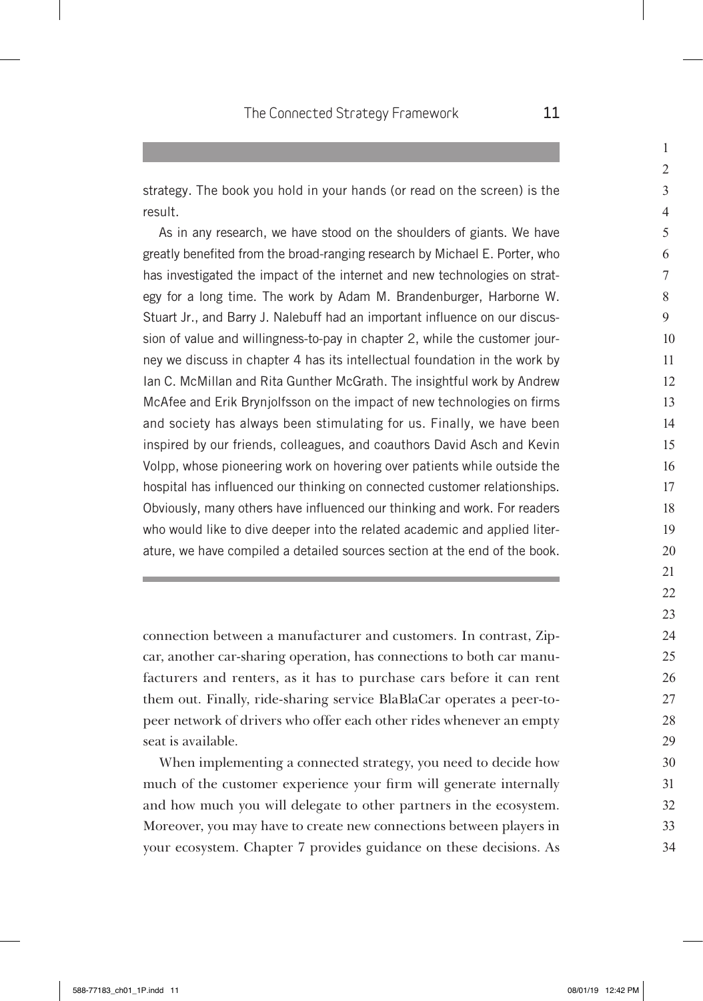strategy. The book you hold in your hands (or read on the screen) is the result.

As in any research, we have stood on the shoulders of giants. We have greatly benefited from the broad-ranging research by Michael E. Porter, who has investigated the impact of the internet and new technologies on strategy for a long time. The work by Adam M. Brandenburger, Harborne W. Stuart Jr., and Barry J. Nalebuff had an important influence on our discussion of value and willingness-to-pay in chapter 2, while the customer journey we discuss in chapter 4 has its intellectual foundation in the work by Ian C. McMillan and Rita Gunther McGrath. The insightful work by Andrew McAfee and Erik Brynjolfsson on the impact of new technologies on firms and society has always been stimulating for us. Finally, we have been inspired by our friends, colleagues, and coauthors David Asch and Kevin Volpp, whose pioneering work on hovering over patients while outside the hospital has influenced our thinking on connected customer relationships. Obviously, many others have influenced our thinking and work. For readers who would like to dive deeper into the related academic and applied literature, we have compiled a detailed sources section at the end of the book.

connection between a manufacturer and customers. In contrast, Zipcar, another car-sharing operation, has connections to both car manufacturers and renters, as it has to purchase cars before it can rent them out. Finally, ride-sharing service BlaBlaCar operates a peer-topeer network of drivers who offer each other rides whenever an empty seat is available.

When implementing a connected strategy, you need to decide how much of the customer experience your firm will generate internally and how much you will delegate to other partners in the ecosystem. Moreover, you may have to create new connections between players in your ecosystem. Chapter 7 provides guidance on these decisions. As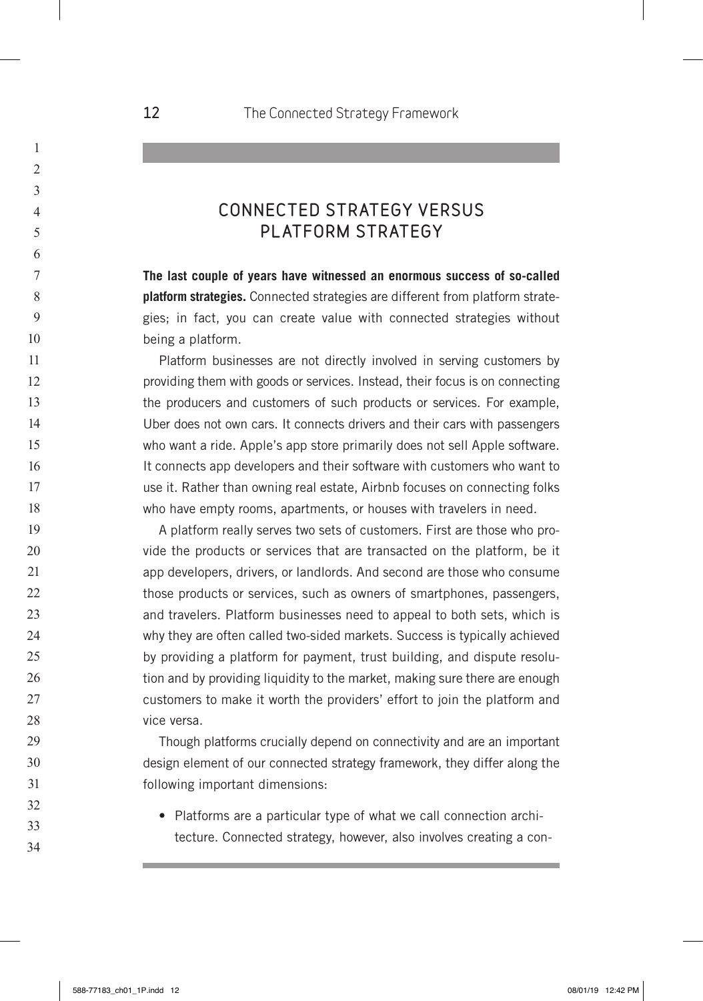# CONNECTED STRATEGY VERSUS PLATFORM STRATEGY

**The last couple of years have witnessed an enormous success of so-called platform strategies.** Connected strategies are different from platform strategies; in fact, you can create value with connected strategies without being a platform.

Platform businesses are not directly involved in serving customers by providing them with goods or services. Instead, their focus is on connecting the producers and customers of such products or services. For example, Uber does not own cars. It connects drivers and their cars with passengers who want a ride. Apple's app store primarily does not sell Apple software. It connects app developers and their software with customers who want to use it. Rather than owning real estate, Airbnb focuses on connecting folks who have empty rooms, apartments, or houses with travelers in need.

A platform really serves two sets of customers. First are those who provide the products or services that are transacted on the platform, be it app developers, drivers, or landlords. And second are those who consume those products or services, such as owners of smartphones, passengers, and travelers. Platform businesses need to appeal to both sets, which is why they are often called two-sided markets. Success is typically achieved by providing a platform for payment, trust building, and dispute resolution and by providing liquidity to the market, making sure there are enough customers to make it worth the providers' effort to join the platform and vice versa.

Though platforms crucially depend on connectivity and are an important design element of our connected strategy framework, they differ along the following important dimensions:

• Platforms are a particular type of what we call connection architecture. Connected strategy, however, also involves creating a con-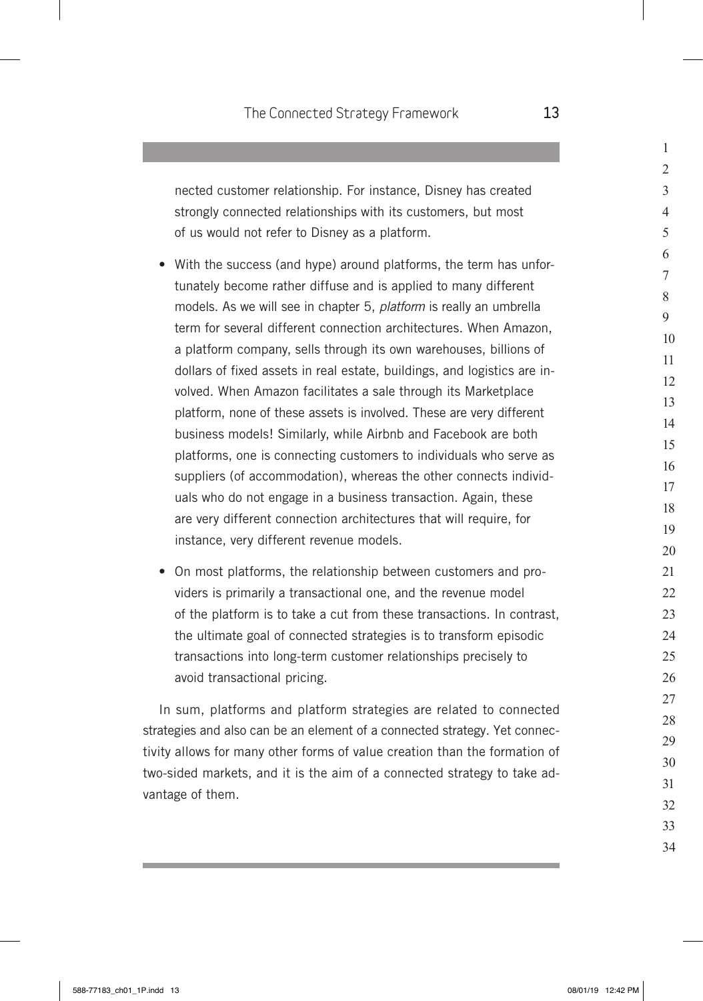nected customer relationship. For instance, Disney has created strongly connected relationships with its customers, but most

of us would not refer to Disney as a platform.

• With the success (and hype) around platforms, the term has unfortunately become rather diffuse and is applied to many different models. As we will see in chapter 5, *platform* is really an umbrella term for several different connection architectures. When Amazon, a platform company, sells through its own warehouses, billions of dollars of fixed assets in real estate, buildings, and logistics are involved. When Amazon facilitates a sale through its Marketplace platform, none of these assets is involved. These are very different business models! Similarly, while Airbnb and Facebook are both platforms, one is connecting customers to individuals who serve as suppliers (of accommodation), whereas the other connects individuals who do not engage in a business transaction. Again, these are very different connection architectures that will require, for instance, very different revenue models. • On most platforms, the relationship between customers and providers is primarily a transactional one, and the revenue model of the platform is to take a cut from these transactions. In contrast, the ultimate goal of connected strategies is to transform episodic transactions into long-term customer relationships precisely to avoid transactional pricing.

In sum, platforms and platform strategies are related to connected strategies and also can be an element of a connected strategy. Yet connectivity allows for many other forms of value creation than the formation of two-sided markets, and it is the aim of a connected strategy to take advantage of them.

31 32 33

34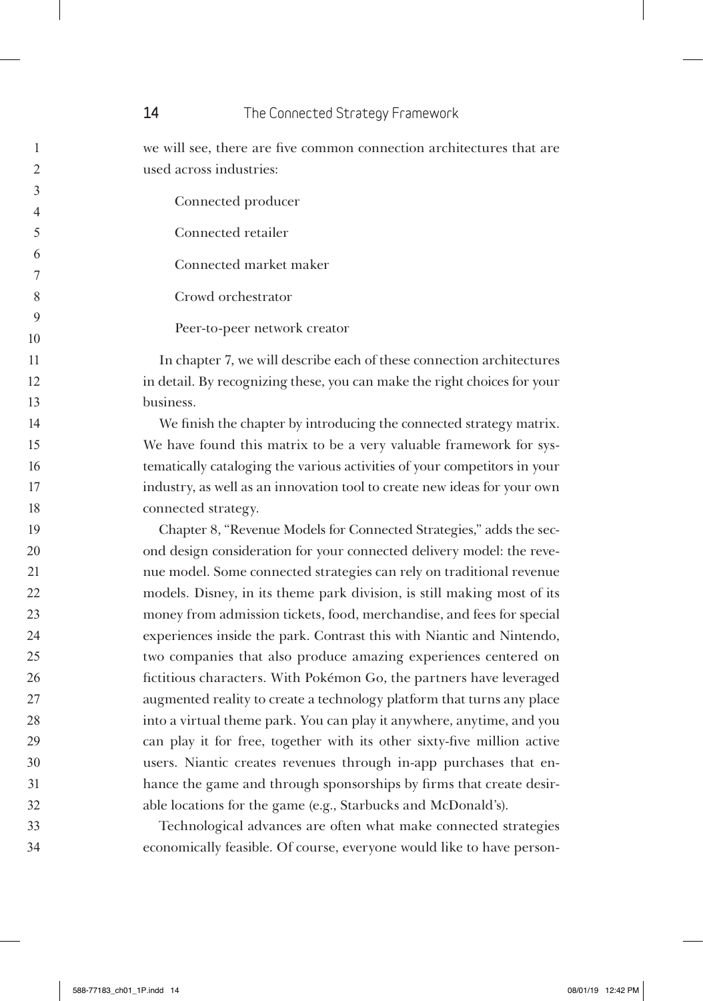we will see, there are five common connection architectures that are used across industries:

Connected producer Connected retailer Connected market maker Crowd orchestrator

Peer-to-peer network creator

In chapter 7, we will describe each of these connection architectures in detail. By recognizing these, you can make the right choices for your business.

We finish the chapter by introducing the connected strategy matrix. We have found this matrix to be a very valuable framework for systematically cataloging the various activities of your competitors in your industry, as well as an innovation tool to create new ideas for your own connected strategy.

Chapter 8, "Revenue Models for Connected Strategies," adds the second design consideration for your connected delivery model: the revenue model. Some connected strategies can rely on traditional revenue models. Disney, in its theme park division, is still making most of its money from admission tickets, food, merchandise, and fees for special experiences inside the park. Contrast this with Niantic and Nintendo, two companies that also produce amazing experiences centered on fictitious characters. With Pokémon Go, the partners have leveraged augmented reality to create a technology platform that turns any place into a virtual theme park. You can play it anywhere, anytime, and you can play it for free, together with its other sixty-five million active users. Niantic creates revenues through in-app purchases that enhance the game and through sponsorships by firms that create desirable locations for the game (e.g., Starbucks and McDonald's).

Technological advances are often what make connected strategies economically feasible. Of course, everyone would like to have person-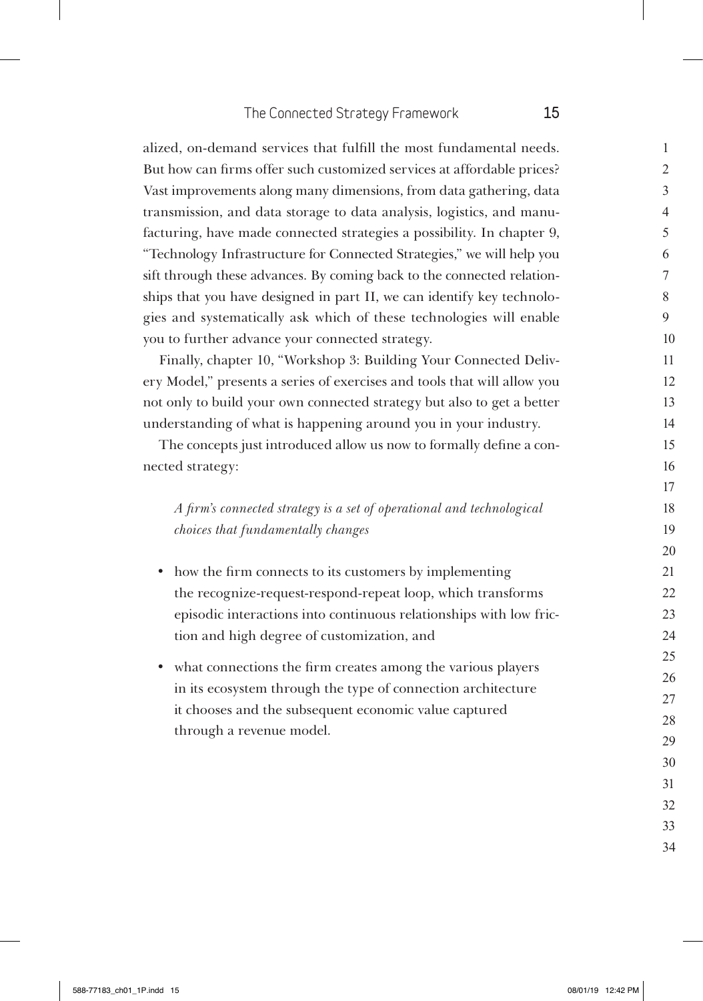alized, on-demand services that fulfill the most fundamental needs. But how can firms offer such customized services at affordable prices? Vast improvements along many dimensions, from data gathering, data transmission, and data storage to data analysis, logistics, and manufacturing, have made connected strategies a possibility. In chapter 9, "Technology Infrastructure for Connected Strategies," we will help you sift through these advances. By coming back to the connected relationships that you have designed in part II, we can identify key technologies and systematically ask which of these technologies will enable you to further advance your connected strategy.

Finally, chapter 10, "Workshop 3: Building Your Connected Delivery Model," presents a series of exercises and tools that will allow you not only to build your own connected strategy but also to get a better understanding of what is happening around you in your industry.

The concepts just introduced allow us now to formally define a connected strategy:

*A firm's connected strategy is a set of operational and technological choices that fundamentally changes*

- how the firm connects to its customers by implementing the recognize-request-respond-repeat loop, which transforms episodic interactions into continuous relationships with low friction and high degree of customization, and
- what connections the firm creates among the various players in its ecosystem through the type of connection architecture it chooses and the subsequent economic value captured through a revenue model.

30 31 32

33 34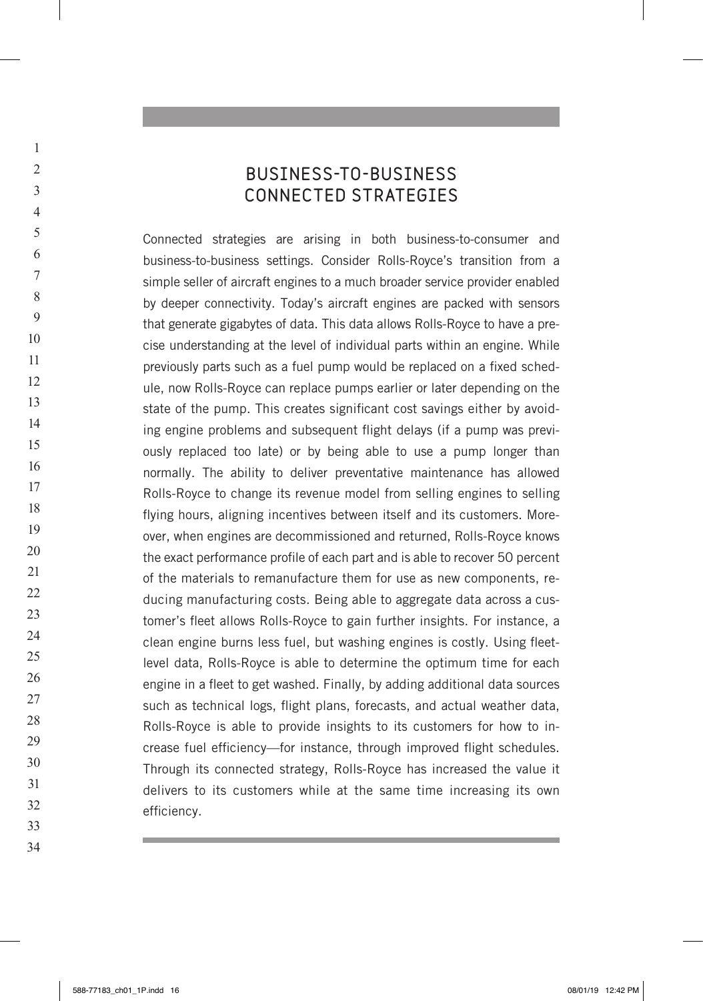# BUSINESS-TO-BUSINESS CONNECTED STRATEGIES

Connected strategies are arising in both business-to-consumer and business-to-business settings. Consider Rolls-Royce's transition from a simple seller of aircraft engines to a much broader service provider enabled by deeper connectivity. Today's aircraft engines are packed with sensors that generate gigabytes of data. This data allows Rolls-Royce to have a precise understanding at the level of individual parts within an engine. While previously parts such as a fuel pump would be replaced on a fixed schedule, now Rolls-Royce can replace pumps earlier or later depending on the state of the pump. This creates significant cost savings either by avoiding engine problems and subsequent flight delays (if a pump was previously replaced too late) or by being able to use a pump longer than normally. The ability to deliver preventative maintenance has allowed Rolls-Royce to change its revenue model from selling engines to selling flying hours, aligning incentives between itself and its customers. Moreover, when engines are decommissioned and returned, Rolls-Royce knows the exact performance profile of each part and is able to recover 50 percent of the materials to remanufacture them for use as new components, reducing manufacturing costs. Being able to aggregate data across a customer's fleet allows Rolls-Royce to gain further insights. For instance, a clean engine burns less fuel, but washing engines is costly. Using fleetlevel data, Rolls-Royce is able to determine the optimum time for each engine in a fleet to get washed. Finally, by adding additional data sources such as technical logs, flight plans, forecasts, and actual weather data, Rolls-Royce is able to provide insights to its customers for how to increase fuel efficiency—for instance, through improved flight schedules. Through its connected strategy, Rolls-Royce has increased the value it delivers to its customers while at the same time increasing its own efficiency.

588-77183\_ch01\_1P.indd 16 08/01/19 12:42 PM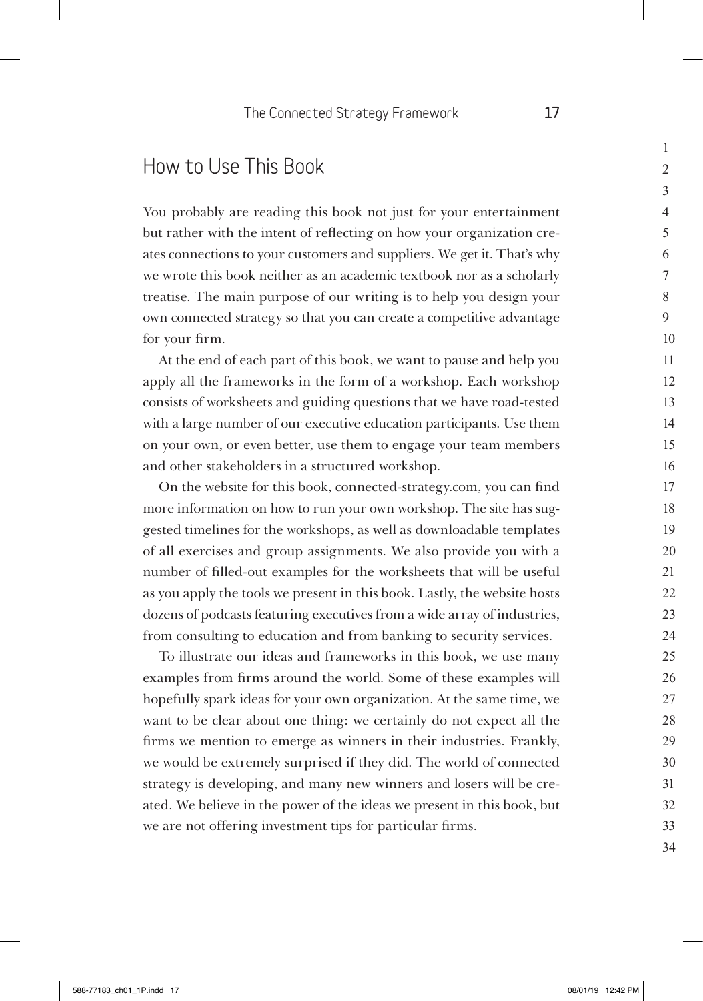# **How to Use This Book**

You probably are reading this book not just for your entertainment but rather with the intent of reflecting on how your organization creates connections to your customers and suppliers. We get it. That's why we wrote this book neither as an academic textbook nor as a scholarly treatise. The main purpose of our writing is to help you design your own connected strategy so that you can create a competitive advantage for your firm.

At the end of each part of this book, we want to pause and help you apply all the frameworks in the form of a workshop. Each workshop consists of worksheets and guiding questions that we have road-tested with a large number of our executive education participants. Use them on your own, or even better, use them to engage your team members and other stakeholders in a structured workshop.

On the website for this book, connected-strategy.com, you can find more information on how to run your own workshop. The site has suggested timelines for the workshops, as well as downloadable templates of all exercises and group assignments. We also provide you with a number of filled-out examples for the worksheets that will be useful as you apply the tools we present in this book. Lastly, the website hosts dozens of podcasts featuring executives from a wide array of industries, from consulting to education and from banking to security services.

To illustrate our ideas and frameworks in this book, we use many examples from firms around the world. Some of these examples will hopefully spark ideas for your own organization. At the same time, we want to be clear about one thing: we certainly do not expect all the firms we mention to emerge as winners in their industries. Frankly, we would be extremely surprised if they did. The world of connected strategy is developing, and many new winners and losers will be created. We believe in the power of the ideas we present in this book, but we are not offering investment tips for particular firms.